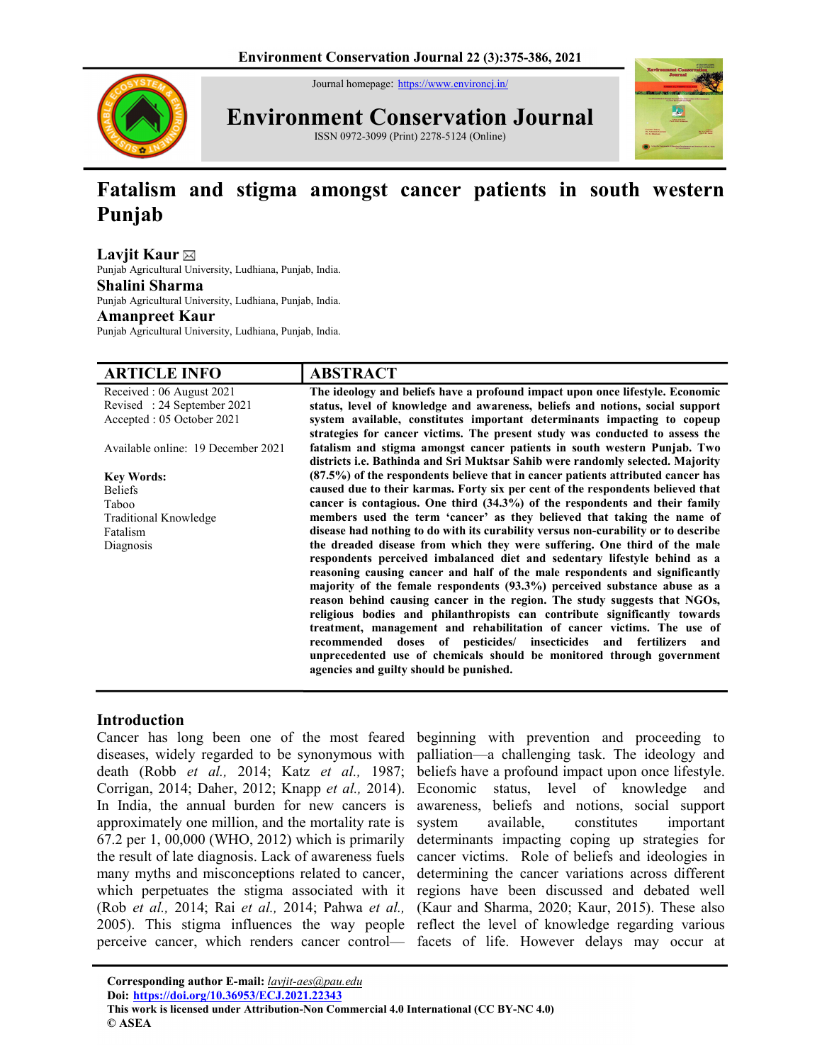Journal homepage: https://www.environcj.in/



Environment Conservation Journal

ISSN 0972-3099 (Print) 2278-5124 (Online)



# Fatalism and stigma amongst cancer patients in south western Punjab

Laviit Kaur $\boxtimes$ 

Punjab Agricultural University, Ludhiana, Punjab, India.

Shalini Sharma

Punjab Agricultural University, Ludhiana, Punjab, India.

#### Amanpreet Kaur

Punjab Agricultural University, Ludhiana, Punjab, India.

| <b>ARTICLE INFO</b>                | <b>ABSTRACT</b>                                                                                                                                                                                                                  |
|------------------------------------|----------------------------------------------------------------------------------------------------------------------------------------------------------------------------------------------------------------------------------|
| Received: 06 August 2021           | The ideology and beliefs have a profound impact upon once lifestyle. Economic                                                                                                                                                    |
| Revised: 24 September 2021         | status, level of knowledge and awareness, beliefs and notions, social support                                                                                                                                                    |
| Accepted : 05 October 2021         | system available, constitutes important determinants impacting to copeup<br>strategies for cancer victims. The present study was conducted to assess the                                                                         |
| Available online: 19 December 2021 | fatalism and stigma amongst cancer patients in south western Punjab. Two<br>districts i.e. Bathinda and Sri Muktsar Sahib were randomly selected. Majority                                                                       |
| <b>Key Words:</b>                  | (87.5%) of the respondents believe that in cancer patients attributed cancer has                                                                                                                                                 |
| <b>Beliefs</b>                     | caused due to their karmas. Forty six per cent of the respondents believed that                                                                                                                                                  |
| Taboo                              | cancer is contagious. One third (34.3%) of the respondents and their family                                                                                                                                                      |
| Traditional Knowledge              | members used the term 'cancer' as they believed that taking the name of                                                                                                                                                          |
| Fatalism                           | disease had nothing to do with its curability versus non-curability or to describe                                                                                                                                               |
| Diagnosis                          | the dreaded disease from which they were suffering. One third of the male                                                                                                                                                        |
|                                    | respondents perceived imbalanced diet and sedentary lifestyle behind as a                                                                                                                                                        |
|                                    | reasoning causing cancer and half of the male respondents and significantly                                                                                                                                                      |
|                                    | majority of the female respondents $(93.3\%)$ perceived substance abuse as a                                                                                                                                                     |
|                                    | reason behind causing cancer in the region. The study suggests that NGOs,<br>religious bodies and philanthropists can contribute significantly towards<br>treatment, management and rehabilitation of cancer victims. The use of |
|                                    | recommended doses of pesticides/ insecticides and fertilizers<br>and<br>unprecedented use of chemicals should be monitored through government<br>agencies and guilty should be punished.                                         |

## Introduction

diseases, widely regarded to be synonymous with palliation—a challenging task. The ideology and death (Robb et al., 2014; Katz et al., 1987; Corrigan, 2014; Daher, 2012; Knapp et al., 2014). In India, the annual burden for new cancers is approximately one million, and the mortality rate is 67.2 per 1, 00,000 (WHO, 2012) which is primarily the result of late diagnosis. Lack of awareness fuels many myths and misconceptions related to cancer, which perpetuates the stigma associated with it regions have been discussed and debated well (Rob et al., 2014; Rai et al., 2014; Pahwa et al., (Kaur and Sharma, 2020; Kaur, 2015). These also 2005). This stigma influences the way people reflect the level of knowledge regarding various perceive cancer, which renders cancer control— facets of life. However delays may occur at

Cancer has long been one of the most feared beginning with prevention and proceeding to beliefs have a profound impact upon once lifestyle. Economic status, level of knowledge and awareness, beliefs and notions, social support system available, constitutes important determinants impacting coping up strategies for cancer victims. Role of beliefs and ideologies in determining the cancer variations across different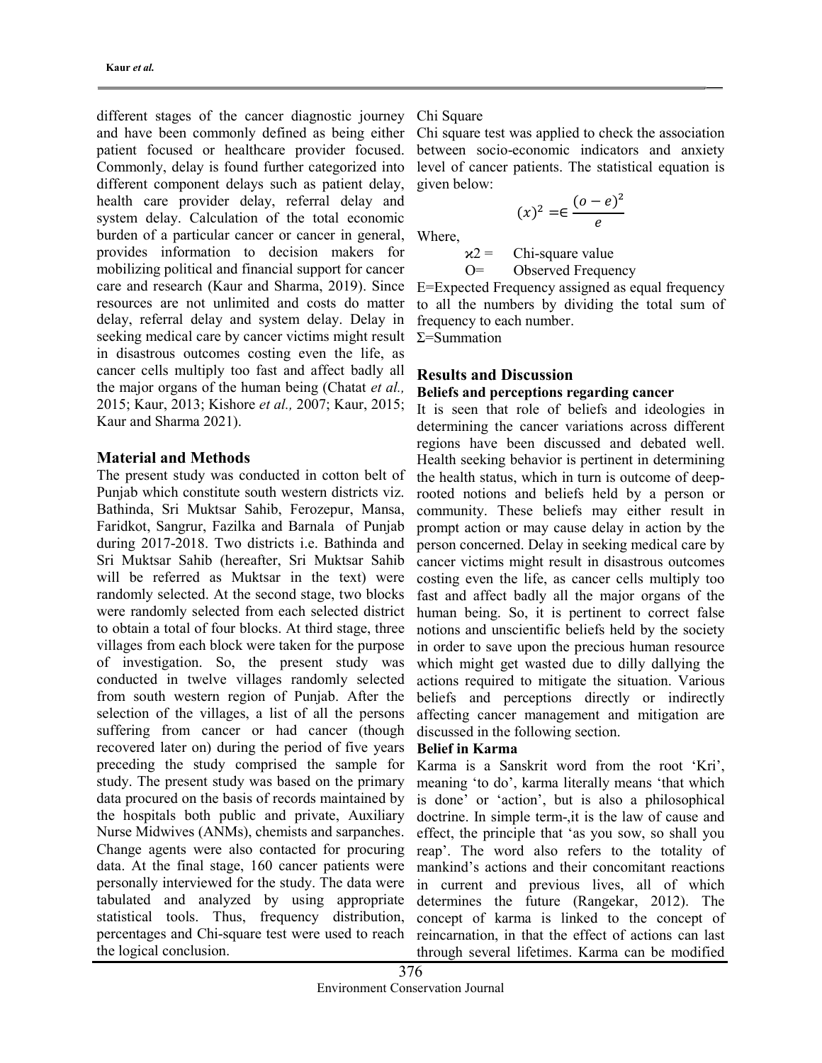different stages of the cancer diagnostic journey and have been commonly defined as being either patient focused or healthcare provider focused. Commonly, delay is found further categorized into different component delays such as patient delay, health care provider delay, referral delay and system delay. Calculation of the total economic burden of a particular cancer or cancer in general, provides information to decision makers for mobilizing political and financial support for cancer care and research (Kaur and Sharma, 2019). Since resources are not unlimited and costs do matter delay, referral delay and system delay. Delay in seeking medical care by cancer victims might result in disastrous outcomes costing even the life, as cancer cells multiply too fast and affect badly all the major organs of the human being (Chatat *et al.*, 2015; Kaur, 2013; Kishore et al., 2007; Kaur, 2015; Kaur and Sharma 2021).

## Material and Methods

The present study was conducted in cotton belt of Punjab which constitute south western districts viz. Bathinda, Sri Muktsar Sahib, Ferozepur, Mansa, Faridkot, Sangrur, Fazilka and Barnala of Punjab during 2017-2018. Two districts i.e. Bathinda and Sri Muktsar Sahib (hereafter, Sri Muktsar Sahib will be referred as Muktsar in the text) were randomly selected. At the second stage, two blocks were randomly selected from each selected district to obtain a total of four blocks. At third stage, three villages from each block were taken for the purpose of investigation. So, the present study was conducted in twelve villages randomly selected from south western region of Punjab. After the selection of the villages, a list of all the persons suffering from cancer or had cancer (though recovered later on) during the period of five years preceding the study comprised the sample for study. The present study was based on the primary data procured on the basis of records maintained by the hospitals both public and private, Auxiliary Nurse Midwives (ANMs), chemists and sarpanches. Change agents were also contacted for procuring data. At the final stage, 160 cancer patients were personally interviewed for the study. The data were tabulated and analyzed by using appropriate statistical tools. Thus, frequency distribution, percentages and Chi-square test were used to reach the logical conclusion.

## Chi Square

Chi square test was applied to check the association between socio-economic indicators and anxiety level of cancer patients. The statistical equation is given below:

$$
(x)^2 = \in \frac{(o-e)^2}{e}
$$

Where,

 $x^2$  = Chi-square value O= Observed Frequency

E=Expected Frequency assigned as equal frequency to all the numbers by dividing the total sum of frequency to each number.

 $\Sigma$ =Summation

## Results and Discussion

## Beliefs and perceptions regarding cancer

It is seen that role of beliefs and ideologies in determining the cancer variations across different regions have been discussed and debated well. Health seeking behavior is pertinent in determining the health status, which in turn is outcome of deeprooted notions and beliefs held by a person or community. These beliefs may either result in prompt action or may cause delay in action by the person concerned. Delay in seeking medical care by cancer victims might result in disastrous outcomes costing even the life, as cancer cells multiply too fast and affect badly all the major organs of the human being. So, it is pertinent to correct false notions and unscientific beliefs held by the society in order to save upon the precious human resource which might get wasted due to dilly dallying the actions required to mitigate the situation. Various beliefs and perceptions directly or indirectly affecting cancer management and mitigation are discussed in the following section.

## Belief in Karma

Karma is a Sanskrit word from the root 'Kri', meaning 'to do', karma literally means 'that which is done' or 'action', but is also a philosophical doctrine. In simple term-,it is the law of cause and effect, the principle that 'as you sow, so shall you reap'. The word also refers to the totality of mankind's actions and their concomitant reactions in current and previous lives, all of which determines the future (Rangekar, 2012). The concept of karma is linked to the concept of reincarnation, in that the effect of actions can last through several lifetimes. Karma can be modified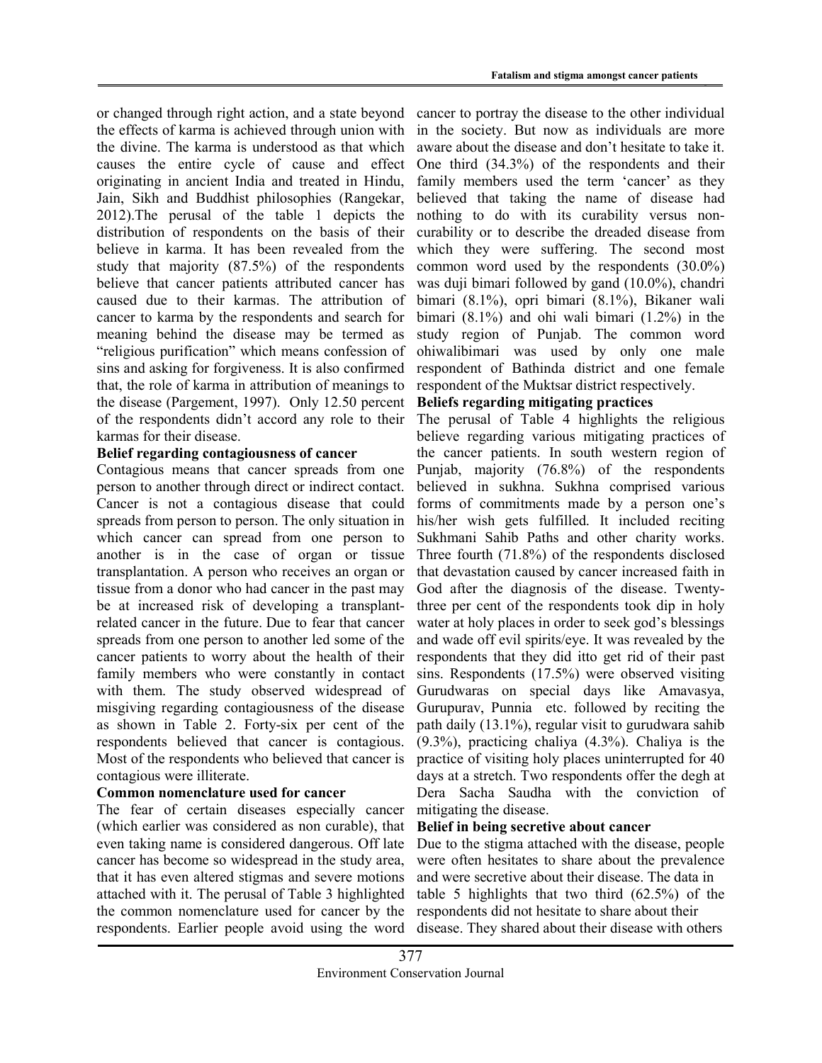or changed through right action, and a state beyond the effects of karma is achieved through union with the divine. The karma is understood as that which causes the entire cycle of cause and effect originating in ancient India and treated in Hindu, Jain, Sikh and Buddhist philosophies (Rangekar, 2012).The perusal of the table 1 depicts the distribution of respondents on the basis of their believe in karma. It has been revealed from the study that majority (87.5%) of the respondents believe that cancer patients attributed cancer has caused due to their karmas. The attribution of cancer to karma by the respondents and search for meaning behind the disease may be termed as "religious purification" which means confession of sins and asking for forgiveness. It is also confirmed that, the role of karma in attribution of meanings to the disease (Pargement, 1997). Only 12.50 percent of the respondents didn't accord any role to their karmas for their disease.

## Belief regarding contagiousness of cancer

Contagious means that cancer spreads from one person to another through direct or indirect contact. Cancer is not a contagious disease that could spreads from person to person. The only situation in which cancer can spread from one person to another is in the case of organ or tissue transplantation. A person who receives an organ or tissue from a donor who had cancer in the past may be at increased risk of developing a transplantrelated cancer in the future. Due to fear that cancer spreads from one person to another led some of the cancer patients to worry about the health of their family members who were constantly in contact with them. The study observed widespread of misgiving regarding contagiousness of the disease as shown in Table 2. Forty-six per cent of the respondents believed that cancer is contagious. Most of the respondents who believed that cancer is contagious were illiterate.

## Common nomenclature used for cancer

The fear of certain diseases especially cancer (which earlier was considered as non curable), that even taking name is considered dangerous. Off late cancer has become so widespread in the study area, that it has even altered stigmas and severe motions attached with it. The perusal of Table 3 highlighted the common nomenclature used for cancer by the respondents. Earlier people avoid using the word

cancer to portray the disease to the other individual in the society. But now as individuals are more aware about the disease and don't hesitate to take it. One third (34.3%) of the respondents and their family members used the term 'cancer' as they believed that taking the name of disease had nothing to do with its curability versus noncurability or to describe the dreaded disease from which they were suffering. The second most common word used by the respondents (30.0%) was duji bimari followed by gand (10.0%), chandri bimari (8.1%), opri bimari (8.1%), Bikaner wali bimari (8.1%) and ohi wali bimari (1.2%) in the study region of Punjab. The common word ohiwalibimari was used by only one male respondent of Bathinda district and one female respondent of the Muktsar district respectively.

## Beliefs regarding mitigating practices

The perusal of Table 4 highlights the religious believe regarding various mitigating practices of the cancer patients. In south western region of Punjab, majority (76.8%) of the respondents believed in sukhna. Sukhna comprised various forms of commitments made by a person one's his/her wish gets fulfilled. It included reciting Sukhmani Sahib Paths and other charity works. Three fourth (71.8%) of the respondents disclosed that devastation caused by cancer increased faith in God after the diagnosis of the disease. Twentythree per cent of the respondents took dip in holy water at holy places in order to seek god's blessings and wade off evil spirits/eye. It was revealed by the respondents that they did itto get rid of their past sins. Respondents (17.5%) were observed visiting Gurudwaras on special days like Amavasya, Gurupurav, Punnia etc. followed by reciting the path daily (13.1%), regular visit to gurudwara sahib (9.3%), practicing chaliya (4.3%). Chaliya is the practice of visiting holy places uninterrupted for 40 days at a stretch. Two respondents offer the degh at Dera Sacha Saudha with the conviction of mitigating the disease.

## Belief in being secretive about cancer

Due to the stigma attached with the disease, people were often hesitates to share about the prevalence and were secretive about their disease. The data in table 5 highlights that two third (62.5%) of the respondents did not hesitate to share about their disease. They shared about their disease with others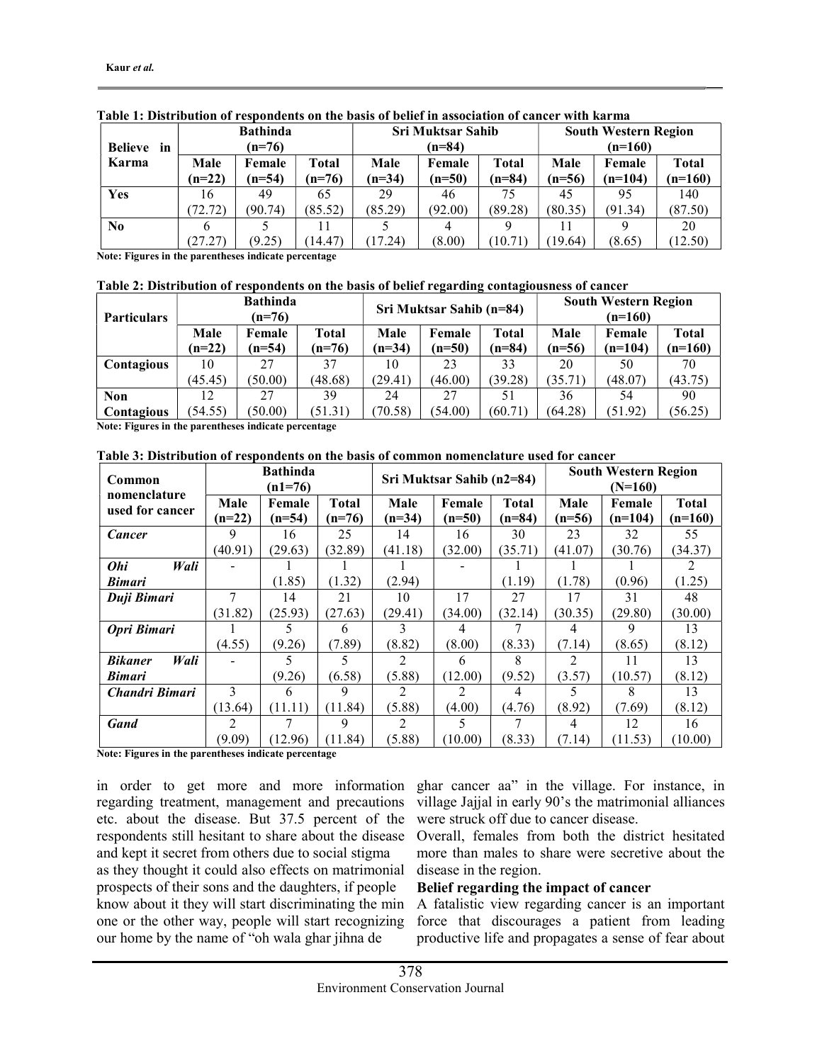|                | <b>Bathinda</b> |          |          |          | <b>Sri Muktsar Sahib</b> |          | <b>South Western Region</b> |           |              |
|----------------|-----------------|----------|----------|----------|--------------------------|----------|-----------------------------|-----------|--------------|
| Believe<br>in  | $(n=76)$        |          |          |          | $(n=84)$                 |          | $(n=160)$                   |           |              |
| Karma          | Male            | Female   | Total    | Male     | Female                   | Total    | Male                        | Female    | <b>Total</b> |
|                | $(n=22)$        | $(n=54)$ | $(n=76)$ | $(n=34)$ | $(n=50)$                 | $(n=84)$ | $(n=56)$                    | $(n=104)$ | $(n=160)$    |
| <b>Yes</b>     | 16              | 49       | 65       | 29       | 46                       | 75       | 45                          | 95        | 140          |
|                | (72.72)         | (90.74)  | (85.52)  | (85.29)  | (92.00)                  | (89.28)  | (80.35)                     | (91.34)   | (87.50)      |
| N <sub>0</sub> | 6               |          |          |          | 4                        |          |                             |           | 20           |
|                | (27.27)         | (9.25)   | (14.47)  | 17.24)   | (8.00)                   | 10.71    | 19.64)                      | (8.65)    | (12.50)      |

#### Table 1: Distribution of respondents on the basis of belief in association of cancer with karma

Note: Figures in the parentheses indicate percentage

#### Table 2: Distribution of respondents on the basis of belief regarding contagiousness of cancer

| <b>Particulars</b>              | <b>Bathinda</b><br>$(n=76)$ |                    |                   |                  | Sri Muktsar Sahib (n=84) |                   | <b>South Western Region</b><br>$(n=160)$ |                     |                           |
|---------------------------------|-----------------------------|--------------------|-------------------|------------------|--------------------------|-------------------|------------------------------------------|---------------------|---------------------------|
|                                 | Male<br>$(n=22)$            | Female<br>$(n=54)$ | Total<br>$(n=76)$ | Male<br>$(n=34)$ | Female<br>$(n=50)$       | Total<br>$(n=84)$ | Male<br>$(n=56)$                         | Female<br>$(n=104)$ | <b>Total</b><br>$(n=160)$ |
| Contagious                      | 10                          | 27                 | 37                | 10               | 23                       | 33                | 20                                       | 50                  | 70                        |
|                                 | (45.45)                     | (50.00)            | (48.68)           | (29.41)          | (46.00)                  | (39.28)           | (35.71)                                  | (48.07)             | (43.75)                   |
| <b>Non</b><br><b>Contagious</b> | 12<br>(54.55)               | 27<br>(50.00)      | 39<br>(51.31)     | 24<br>70.58)     | 27<br>(54.00)            | 51<br>(60.71)     | 36<br>(64.28)                            | 54<br>(51.92)       | 90<br>(56.25)             |

Note: Figures in the parentheses indicate percentage

Table 3: Distribution of respondents on the basis of common nomenclature used for cancer

| Common<br>nomenclature |          | <b>Bathinda</b><br>$(n1=76)$ |              |                | Sri Muktsar Sahib (n2=84) |              | <b>South Western Region</b><br>$(N=160)$ |           |              |
|------------------------|----------|------------------------------|--------------|----------------|---------------------------|--------------|------------------------------------------|-----------|--------------|
|                        | Male     | Female                       | <b>Total</b> | Male           | Female                    | <b>Total</b> | Male                                     | Female    | <b>Total</b> |
| used for cancer        | $(n=22)$ | $(n=54)$                     | $(n=76)$     | $(n=34)$       | $(n=50)$                  | $(n=84)$     | $(n=56)$                                 | $(n=104)$ | $(n=160)$    |
| Cancer                 | 9        | 16                           | 25           | 14             | 16                        | 30           | 23                                       | 32        | 55           |
|                        | (40.91)  | (29.63)                      | (32.89)      | (41.18)        | (32.00)                   | (35.71)      | (41.07)                                  | (30.76)   | (34.37)      |
| <b>Ohi</b><br>Wali     |          |                              |              |                |                           |              |                                          |           | 2            |
| <b>Bimari</b>          |          | (1.85)                       | (1.32)       | (2.94)         |                           | (1.19)       | (1.78)                                   | (0.96)    | (1.25)       |
| Duji Bimari            | 7        | 14                           | 21           | 10             | 17                        | 27           | 17                                       | 31        | 48           |
|                        | (31.82)  | (25.93)                      | (27.63)      | (29.41)        | (34.00)                   | (32.14)      | (30.35)                                  | (29.80)   | (30.00)      |
| Opri Bimari            |          |                              | 6            | 3              | 4                         |              | 4                                        | 9         | 13           |
|                        | (4.55)   | (9.26)                       | (7.89)       | (8.82)         | (8.00)                    | (8.33)       | (7.14)                                   | (8.65)    | (8.12)       |
| <b>Bikaner</b><br>Wali |          |                              |              | 2              | 6                         | 8            | 2                                        | 11        | 13           |
| <b>Bimari</b>          |          | (9.26)                       | (6.58)       | (5.88)         | (12.00)                   | (9.52)       | (3.57)                                   | (10.57)   | (8.12)       |
| Chandri Bimari         | 3        | 6                            | 9            | $\mathfrak{D}$ | $\mathfrak{D}$            | 4            |                                          | 8         | 13           |
|                        | (13.64)  | (11.11)                      | (11.84)      | (5.88)         | (4.00)                    | (4.76)       | (8.92)                                   | (7.69)    | (8.12)       |
| <b>Gand</b>            | 2        |                              | 9            | $\mathfrak{D}$ | 5.                        |              | 4                                        | 12        | 16           |
|                        | (9.09)   | (12.96)                      | (11.84)      | (5.88)         | (10.00)                   | (8.33)       | (7.14)                                   | (11.53)   | (10.00)      |

Note: Figures in the parentheses indicate percentage

in order to get more and more information regarding treatment, management and precautions etc. about the disease. But 37.5 percent of the respondents still hesitant to share about the disease and kept it secret from others due to social stigma as they thought it could also effects on matrimonial prospects of their sons and the daughters, if people know about it they will start discriminating the min one or the other way, people will start recognizing our home by the name of "oh wala ghar jihna de

ghar cancer aa" in the village. For instance, in village Jajjal in early 90's the matrimonial alliances were struck off due to cancer disease.

Overall, females from both the district hesitated more than males to share were secretive about the disease in the region.

## Belief regarding the impact of cancer

A fatalistic view regarding cancer is an important force that discourages a patient from leading productive life and propagates a sense of fear about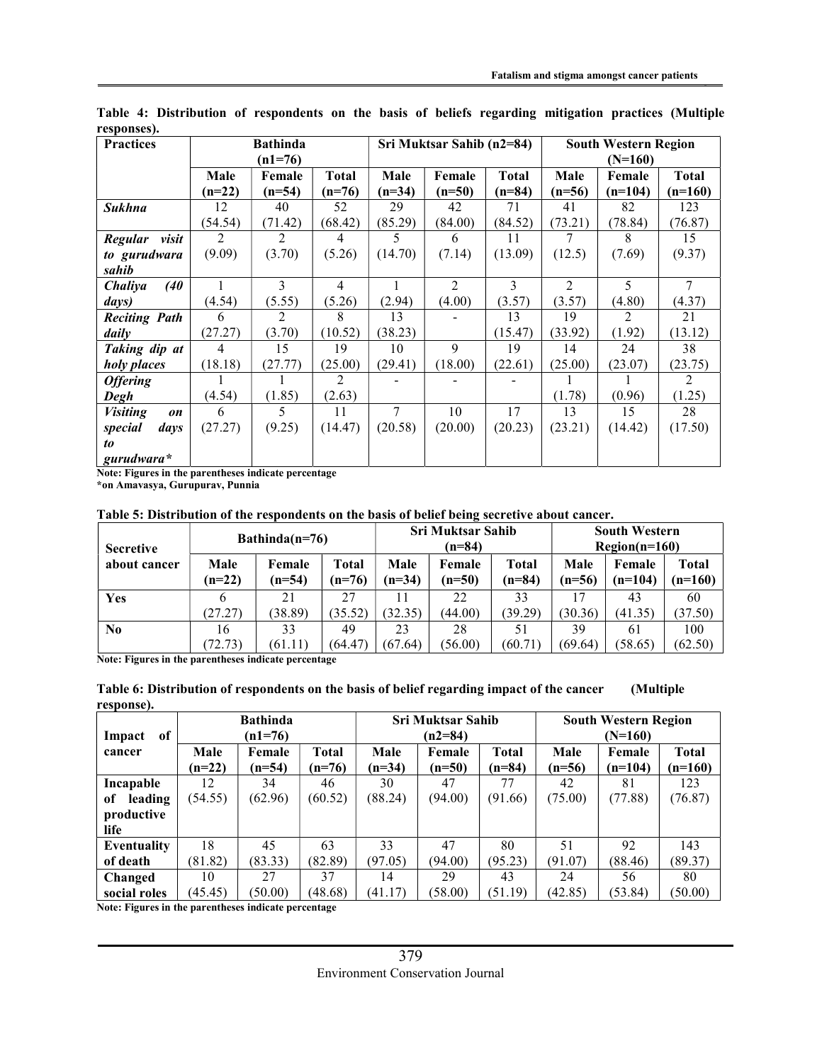| <b>Practices</b>             | <b>Bathinda</b> |          |                |          | Sri Muktsar Sahib (n2=84) |              | <b>South Western Region</b> |           |                |
|------------------------------|-----------------|----------|----------------|----------|---------------------------|--------------|-----------------------------|-----------|----------------|
|                              | $(n1=76)$       |          |                |          |                           |              | $(N=160)$                   |           |                |
|                              | Male            | Female   | Total          | Male     | Female                    | <b>Total</b> | Male                        | Female    | Total          |
|                              | $(n=22)$        | $(n=54)$ | $(n=76)$       | $(n=34)$ | $(n=50)$                  | $(n=84)$     | $(n=56)$                    | $(n=104)$ | $(n=160)$      |
| <b>Sukhna</b>                | 12              | 40       | 52             | 29       | 42                        | 71           | 41                          | 82        | 123            |
|                              | (54.54)         | (71.42)  | (68.42)        | (85.29)  | (84.00)                   | (84.52)      | (73.21)                     | (78.84)   | (76.87)        |
| Regular<br>visit             | 2               | 2        | 4              | 5.       | 6                         | 11           |                             | 8         | 15             |
| to gurudwara                 | (9.09)          | (3.70)   | (5.26)         | (14.70)  | (7.14)                    | (13.09)      | (12.5)                      | (7.69)    | (9.37)         |
| sahib                        |                 |          |                |          |                           |              |                             |           |                |
| Chaliya<br>(40)              |                 | 3        | $\overline{4}$ |          | $\overline{2}$            | 3            | 2                           | 5         | 7              |
| days)                        | (4.54)          | (5.55)   | (5.26)         | (2.94)   | (4.00)                    | (3.57)       | (3.57)                      | (4.80)    | (4.37)         |
| <b>Reciting Path</b>         | 6               | 2        | 8              | 13       |                           | 13           | 19                          | 2         | 21             |
| daily                        | (27.27)         | (3.70)   | (10.52)        | (38.23)  |                           | (15.47)      | (33.92)                     | (1.92)    | (13.12)        |
| Taking dip at                | 4               | 15       | 19             | 10       | $\mathbf Q$               | 19           | 14                          | 24        | 38             |
| holy places                  | (18.18)         | (27.77)  | (25.00)        | (29.41)  | (18.00)                   | (22.61)      | (25.00)                     | (23.07)   | (23.75)        |
| <b>Offering</b>              |                 |          | 2              |          |                           |              |                             |           | $\mathfrak{D}$ |
| Degh                         | (4.54)          | (1.85)   | (2.63)         |          |                           |              | (1.78)                      | (0.96)    | (1.25)         |
| <b>Visiting</b><br><b>on</b> | 6               | 5        | 11             | 7        | 10                        | 17           | 13                          | 15        | 28             |
| special<br>days              | (27.27)         | (9.25)   | (14.47)        | (20.58)  | (20.00)                   | (20.23)      | (23.21)                     | (14.42)   | (17.50)        |
| to                           |                 |          |                |          |                           |              |                             |           |                |
| $gurudwara*$                 |                 |          |                |          |                           |              |                             |           |                |

Table 4: Distribution of respondents on the basis of beliefs regarding mitigation practices (Multiple responses).

Note: Figures in the parentheses indicate percentage

\*on Amavasya, Gurupurav, Punnia

Table 5: Distribution of the respondents on the basis of belief being secretive about cancer.

| <b>Secretive</b> | $Bathinda(n=76)$ |                    |                 | <b>Sri Muktsar Sahib</b><br>$(n=84)$ |                    |                   | <b>South Western</b><br>$Region(n=160)$ |                     |                    |
|------------------|------------------|--------------------|-----------------|--------------------------------------|--------------------|-------------------|-----------------------------------------|---------------------|--------------------|
| about cancer     | Male<br>$(n=22)$ | Female<br>$(n=54)$ | Total<br>$n=76$ | Male<br>$(n=34)$                     | Female<br>$(n=50)$ | Total<br>$(n=84)$ | Male<br>$(n=56)$                        | Female<br>$(n=104)$ | Total<br>$(n=160)$ |
| <b>Yes</b>       |                  | 21                 | 27              | 11                                   | 22                 | 33                | 17                                      | 43                  | 60                 |
|                  | (27.27)          | (38.89)            | (35.52)         | (32.35)                              | (44.00)            | (39.29)           | (30.36)                                 | (41.35)             | (37.50)            |
| N <sub>0</sub>   | 16               | 33                 | 49              | 23                                   | 28                 | 51                | 39                                      | 61                  | 100                |
|                  | (72.73)          | (61.11)            | (64.47          | (67.64)                              | (56.00)            | (60.71)           | (69.64)                                 | (58.65)             | (62.50)            |

Note: Figures in the parentheses indicate percentage

| Table 6: Distribution of respondents on the basis of belief regarding impact of the cancer | (Multiple) |
|--------------------------------------------------------------------------------------------|------------|
| response).                                                                                 |            |

|                          |          | <b>Bathinda</b> |              |          | <b>Sri Muktsar Sahib</b> |          | <b>South Western Region</b> |           |              |
|--------------------------|----------|-----------------|--------------|----------|--------------------------|----------|-----------------------------|-----------|--------------|
| of<br>Impact             |          | $(n1=76)$       |              |          | $(n2=84)$                |          | $(N=160)$                   |           |              |
| cancer                   | Male     | Female          | <b>Total</b> | Male     | Female                   | Total    | Male                        | Female    | <b>Total</b> |
|                          | $(n=22)$ | $(n=54)$        | $(n=76)$     | $(n=34)$ | $(n=50)$                 | $(n=84)$ | $(n=56)$                    | $(n=104)$ | $(n=160)$    |
| Incapable                | 12       | 34              | 46           | 30       | 47                       | 77       | 42                          | 81        | 123          |
| leading<br><sub>of</sub> | (54.55)  | (62.96)         | (60.52)      | (88.24)  | (94.00)                  | (91.66)  | (75.00)                     | (77.88)   | (76.87)      |
| productive               |          |                 |              |          |                          |          |                             |           |              |
| life                     |          |                 |              |          |                          |          |                             |           |              |
| Eventuality              | 18       | 45              | 63           | 33       | 47                       | 80       | 51                          | 92        | 143          |
| of death                 | (81.82)  | (83.33)         | (82.89)      | (97.05)  | (94.00)                  | (95.23)  | (91.07)                     | (88.46)   | (89.37)      |
| Changed                  | 10       | 27              | 37           | 14       | 29                       | 43       | 24                          | 56        | 80           |
| social roles             | (45.45)  | (50.00)         | (48.68)      | (41.17)  | (58.00)                  | (51.19)  | (42.85)                     | (53.84)   | (50.00)      |

Note: Figures in the parentheses indicate percentage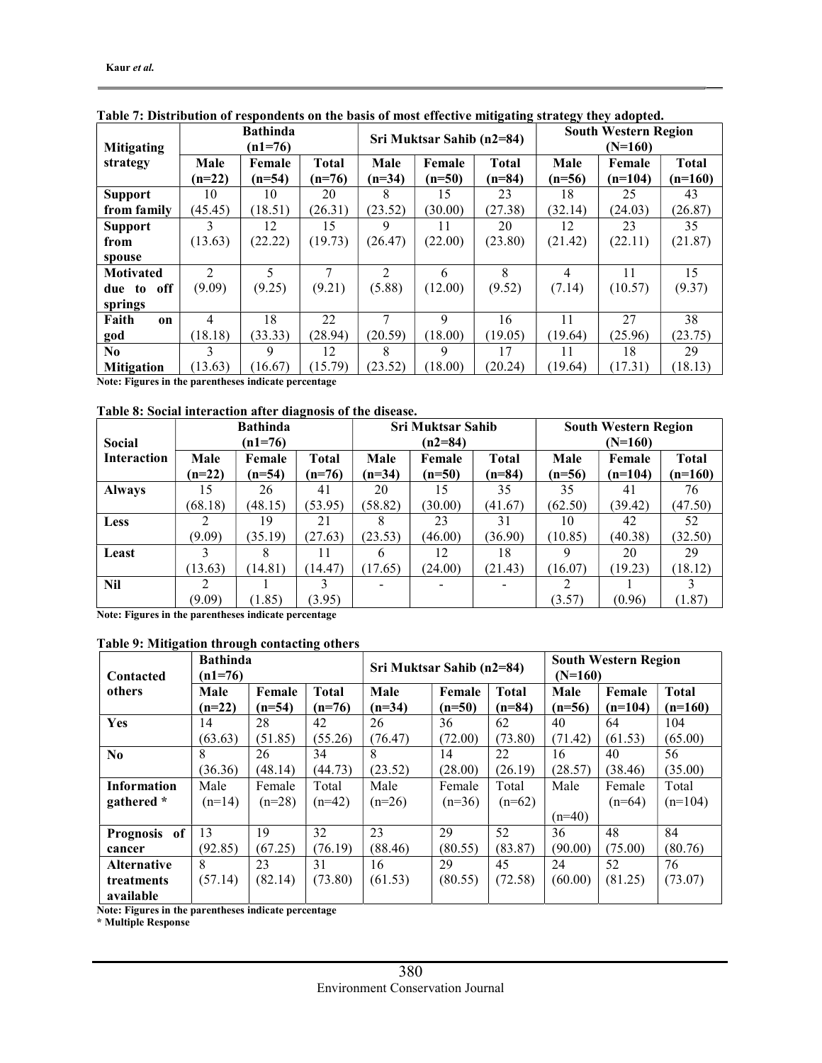| <b>Mitigating</b>      |                | <b>Bathinda</b><br>$(n1=76)$ |              |                | Sri Muktsar Sahib (n2=84) |              | <b>South Western Region</b><br>$(N=160)$ |           |              |  |
|------------------------|----------------|------------------------------|--------------|----------------|---------------------------|--------------|------------------------------------------|-----------|--------------|--|
| strategy               | Male           | Female                       | <b>Total</b> | Male           | Female                    | <b>Total</b> | Male                                     | Female    | <b>Total</b> |  |
|                        | $(n=22)$       | $(n=54)$                     | $(n=76)$     | $(n=34)$       | $(n=50)$                  | $(n=84)$     | $(n=56)$                                 | $(n=104)$ | $(n=160)$    |  |
| <b>Support</b>         | 10             | 10                           | 20           | 8              | 15                        | 23           | 18                                       | 25        | 43           |  |
| from family            | (45.45)        | (18.51)                      | (26.31)      | (23.52)        | (30.00)                   | (27.38)      | (32.14)                                  | (24.03)   | (26.87)      |  |
| <b>Support</b>         | 3              | 12                           | 15           | 9              | 11                        | 20           | 12                                       | 23        | 35           |  |
| from                   | (13.63)        | (22.22)                      | (19.73)      | (26.47)        | (22.00)                   | (23.80)      | (21.42)                                  | (22.11)   | (21.87)      |  |
| spouse                 |                |                              |              |                |                           |              |                                          |           |              |  |
| <b>Motivated</b>       | $\mathfrak{D}$ | 5                            | 7            | $\mathfrak{D}$ | 6                         | 8            | 4                                        | 11        | 15           |  |
| off<br>due to          | (9.09)         | (9.25)                       | (9.21)       | (5.88)         | (12.00)                   | (9.52)       | (7.14)                                   | (10.57)   | (9.37)       |  |
| springs                |                |                              |              |                |                           |              |                                          |           |              |  |
| Faith<br><sub>on</sub> | 4              | 18                           | 22           |                | 9                         | 16           | 11                                       | 27        | 38           |  |
| god                    | (18.18)        | (33.33)                      | (28.94)      | (20.59)        | (18.00)                   | (19.05)      | (19.64)                                  | (25.96)   | (23.75)      |  |
| N <sub>0</sub>         | 3              | 9                            | 12           | 8              | 9                         | 17           | 11                                       | 18        | 29           |  |
| <b>Mitigation</b>      | (13.63)        | (16.67)                      | (15.79)      | (23.52)        | (18.00)                   | (20.24)      | (19.64)                                  | (17.31)   | (18.13)      |  |

Table 7: Distribution of respondents on the basis of most effective mitigating strategy they adopted.

Note: Figures in the parentheses indicate percentage

#### Table 8: Social interaction after diagnosis of the disease.

|               | <b>Bathinda</b> |          |          |          | <b>Sri Muktsar Sahib</b> |              | <b>South Western Region</b> |           |              |  |
|---------------|-----------------|----------|----------|----------|--------------------------|--------------|-----------------------------|-----------|--------------|--|
| <b>Social</b> | $(n1=76)$       |          |          |          | $(n2=84)$                |              | $(N=160)$                   |           |              |  |
| Interaction   | Male            | Female   | Total    | Male     | Female                   | <b>Total</b> | Male                        | Female    | <b>Total</b> |  |
|               | $(n=22)$        | $(n=54)$ | $(n=76)$ | $(n=34)$ | $(n=50)$                 | $(n=84)$     | $(n=56)$                    | $(n=104)$ | $(n=160)$    |  |
| <b>Always</b> |                 | 26       | 41       | 20       | 15                       | 35           | 35                          | 41        | 76           |  |
|               | (68.18)         | (48.15)  | (53.95)  | (58.82)  | (30.00)                  | (41.67)      | (62.50)                     | (39.42)   | (47.50)      |  |
| <b>Less</b>   |                 | 19       | 21       |          | 23                       | 31           | 10                          | 42        | 52           |  |
|               | (9.09)          | (35.19)  | (27.63)  | (23.53)  | (46.00)                  | (36.90)      | (10.85)                     | (40.38)   | (32.50)      |  |
| Least         |                 |          |          | 6        | 12                       | 18           | 9                           | 20        | 29           |  |
|               | (13.63)         | (14.81)  | 14.47    | (17.65)  | (24.00)                  | (21.43)      | (16.07)                     | (19.23)   | (18.12)      |  |
| <b>Nil</b>    | 2               |          |          |          |                          |              | 2                           |           |              |  |
|               | (9.09)          | (1.85)   | (3.95)   |          |                          |              | (3.57)                      | (0.96)    | (1.87)       |  |

Note: Figures in the parentheses indicate percentage

### Table 9: Mitigation through contacting others

| Contacted          | <b>Bathinda</b><br>$(n1=76)$ |          |              | Sri Muktsar Sahib (n2=84) |          |              | <b>South Western Region</b><br>$(N=160)$ |           |              |  |
|--------------------|------------------------------|----------|--------------|---------------------------|----------|--------------|------------------------------------------|-----------|--------------|--|
| others             | Male                         | Female   | <b>Total</b> | Male                      | Female   | <b>Total</b> | Male                                     | Female    | <b>Total</b> |  |
|                    | $(n=22)$                     | $(n=54)$ | $(n=76)$     | $(n=34)$                  | $(n=50)$ | $(n=84)$     | $(n=56)$                                 | $(n=104)$ | $(n=160)$    |  |
| Yes                | 14                           | 28       | 42           | 26                        | 36       | 62           | 40                                       | 64        | 104          |  |
|                    | (63.63)                      | (51.85)  | (55.26)      | (76.47)                   | (72.00)  | (73.80)      | (71.42)                                  | (61.53)   | (65.00)      |  |
| N <sub>0</sub>     | 8                            | 26       | 34           | 8                         | 14       | 22           | 16                                       | 40        | 56           |  |
|                    | (36.36)                      | (48.14)  | (44.73)      | (23.52)                   | (28.00)  | (26.19)      | (28.57)                                  | (38.46)   | (35.00)      |  |
| <b>Information</b> | Male                         | Female   | Total        | Male                      | Female   | Total        | Male                                     | Female    | Total        |  |
| gathered *         | $(n=14)$                     | $(n=28)$ | $(n=42)$     | $(n=26)$                  | $(n=36)$ | $(n=62)$     |                                          | $(n=64)$  | $(n=104)$    |  |
|                    |                              |          |              |                           |          |              | $(n=40)$                                 |           |              |  |
| Prognosis of       | 13                           | 19       | 32           | 23                        | 29       | 52           | 36                                       | 48        | 84           |  |
| cancer             | (92.85)                      | (67.25)  | (76.19)      | (88.46)                   | (80.55)  | (83.87)      | (90.00)                                  | (75.00)   | (80.76)      |  |
| <b>Alternative</b> | 8                            | 23       | 31           | 16                        | 29       | 45           | 24                                       | 52        | 76           |  |
| treatments         | (57.14)                      | (82.14)  | (73.80)      | (61.53)                   | (80.55)  | (72.58)      | (60.00)                                  | (81.25)   | (73.07)      |  |
| available          |                              |          |              |                           |          |              |                                          |           |              |  |

Note: Figures in the parentheses indicate percentage

\* Multiple Response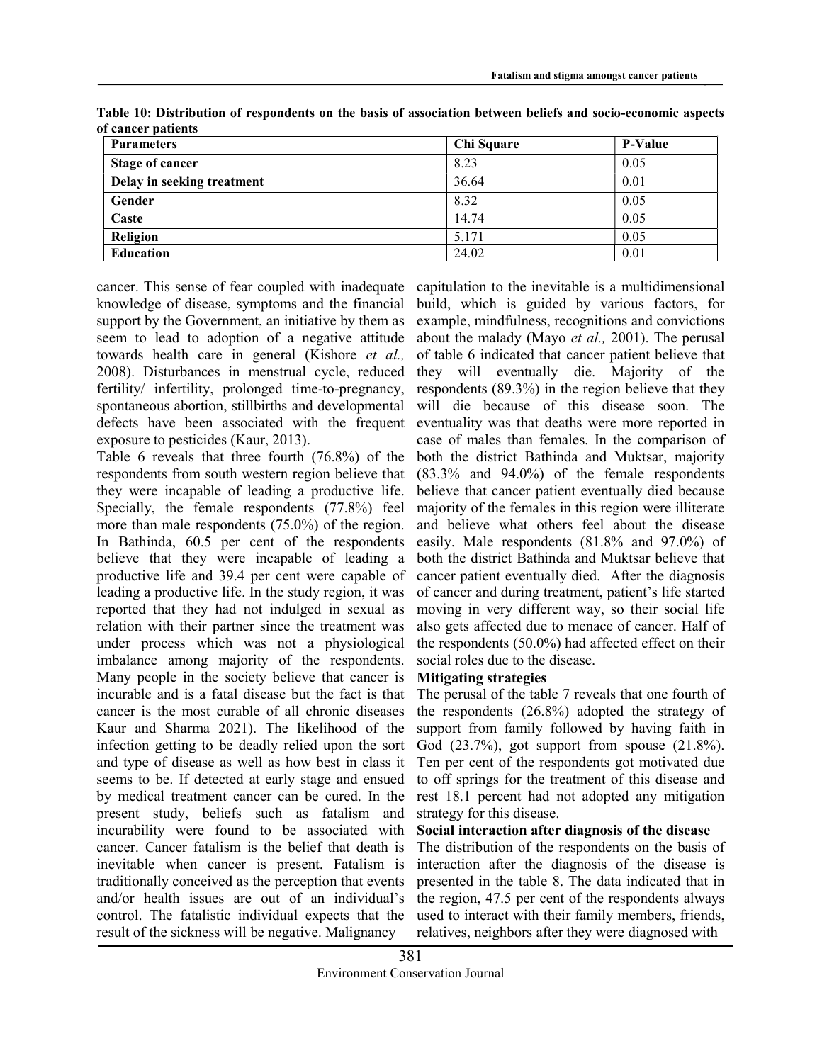| <b>Parameters</b>          | Chi Square | <b>P-Value</b> |
|----------------------------|------------|----------------|
| <b>Stage of cancer</b>     | 8.23       | 0.05           |
| Delay in seeking treatment | 36.64      | 0.01           |
| Gender                     | 8.32       | 0.05           |
| Caste                      | 14.74      | 0.05           |
| Religion                   | 5.171      | 0.05           |
| Education                  | 24.02      | 0.01           |

Table 10: Distribution of respondents on the basis of association between beliefs and socio-economic aspects of cancer patients

cancer. This sense of fear coupled with inadequate knowledge of disease, symptoms and the financial support by the Government, an initiative by them as seem to lead to adoption of a negative attitude towards health care in general (Kishore et al., 2008). Disturbances in menstrual cycle, reduced fertility/ infertility, prolonged time-to-pregnancy, spontaneous abortion, stillbirths and developmental defects have been associated with the frequent exposure to pesticides (Kaur, 2013).

Table 6 reveals that three fourth (76.8%) of the respondents from south western region believe that they were incapable of leading a productive life. Specially, the female respondents (77.8%) feel more than male respondents (75.0%) of the region. In Bathinda, 60.5 per cent of the respondents believe that they were incapable of leading a productive life and 39.4 per cent were capable of leading a productive life. In the study region, it was reported that they had not indulged in sexual as relation with their partner since the treatment was under process which was not a physiological imbalance among majority of the respondents. Many people in the society believe that cancer is incurable and is a fatal disease but the fact is that cancer is the most curable of all chronic diseases Kaur and Sharma 2021). The likelihood of the infection getting to be deadly relied upon the sort and type of disease as well as how best in class it seems to be. If detected at early stage and ensued by medical treatment cancer can be cured. In the present study, beliefs such as fatalism and incurability were found to be associated with cancer. Cancer fatalism is the belief that death is inevitable when cancer is present. Fatalism is traditionally conceived as the perception that events and/or health issues are out of an individual's control. The fatalistic individual expects that the result of the sickness will be negative. Malignancy

capitulation to the inevitable is a multidimensional build, which is guided by various factors, for example, mindfulness, recognitions and convictions about the malady (Mayo et al., 2001). The perusal of table 6 indicated that cancer patient believe that they will eventually die. Majority of the respondents (89.3%) in the region believe that they will die because of this disease soon. The eventuality was that deaths were more reported in case of males than females. In the comparison of both the district Bathinda and Muktsar, majority (83.3% and 94.0%) of the female respondents believe that cancer patient eventually died because majority of the females in this region were illiterate and believe what others feel about the disease easily. Male respondents (81.8% and 97.0%) of both the district Bathinda and Muktsar believe that cancer patient eventually died. After the diagnosis of cancer and during treatment, patient's life started moving in very different way, so their social life also gets affected due to menace of cancer. Half of the respondents (50.0%) had affected effect on their social roles due to the disease.

## Mitigating strategies

The perusal of the table 7 reveals that one fourth of the respondents (26.8%) adopted the strategy of support from family followed by having faith in God (23.7%), got support from spouse (21.8%). Ten per cent of the respondents got motivated due to off springs for the treatment of this disease and rest 18.1 percent had not adopted any mitigation strategy for this disease.

### Social interaction after diagnosis of the disease

The distribution of the respondents on the basis of interaction after the diagnosis of the disease is presented in the table 8. The data indicated that in the region, 47.5 per cent of the respondents always used to interact with their family members, friends, relatives, neighbors after they were diagnosed with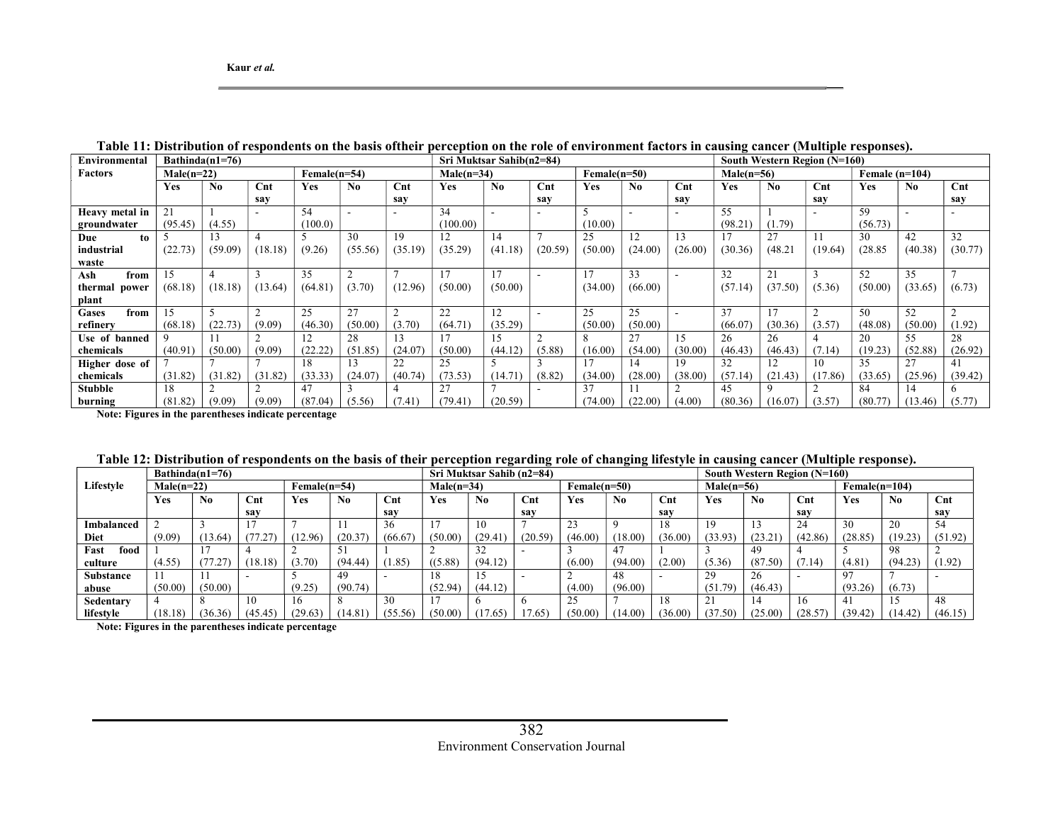| Environmental        | Bathinda $(n1=76)$             |                |                |            |                                |                 |            | Sri Muktsar Sahib(n2=84) |                 |            |              |                |                  |         | South Western Region (N=160) |            |         |                |  |  |
|----------------------|--------------------------------|----------------|----------------|------------|--------------------------------|-----------------|------------|--------------------------|-----------------|------------|--------------|----------------|------------------|---------|------------------------------|------------|---------|----------------|--|--|
| <b>Factors</b>       | $Male(n=22)$<br>$Female(n=54)$ |                |                |            | $Male(n=34)$<br>$Female(n=50)$ |                 |            |                          |                 |            | $Male(n=56)$ |                | Female $(n=104)$ |         |                              |            |         |                |  |  |
|                      | Yes                            | N <sub>0</sub> | $\mathbf{Cnt}$ | <b>Yes</b> | No                             | $\mathbf{C}$ nt | <b>Yes</b> | $\mathbf{N}\mathbf{0}$   | $_{\text{Cnt}}$ | <b>Yes</b> | No.          | $\mathbf{Cnt}$ | <b>Yes</b>       | No.     | $\mathbf{Cnt}$               | <b>Yes</b> | No.     | $\mathbf{Cnt}$ |  |  |
|                      |                                |                | sav            |            |                                | sav             |            |                          | sav             |            |              | sav            |                  |         | sav                          |            |         | say            |  |  |
| Heavy metal in       | 21                             |                |                | 54         |                                |                 | 34         |                          |                 |            |              |                | 55               |         |                              | 59         |         |                |  |  |
| groundwater          | (95.45)                        | (4.55)         |                | (100.0)    |                                |                 | (100.00)   |                          |                 | (10.00)    |              |                | (98.21)          | (1.79)  |                              | (56.73)    |         |                |  |  |
| Due<br>to            |                                | 13             |                |            | 30                             | 19              | 12         | 14                       |                 | 25         | 12           | 13             | 17               | 27      |                              | 30         | 42      | 32             |  |  |
| industrial           | (22.73)                        | (59.09)        | (18.18)        | (9.26)     | (55.56)                        | (35.19)         | (35.29)    | (41.18)                  | (20.59)         | (50.00)    | (24.00)      | (26.00)        | (30.36)          | (48.21) | (19.64)                      | (28.85)    | (40.38) | (30.77)        |  |  |
| waste                |                                |                |                |            |                                |                 |            |                          |                 |            |              |                |                  |         |                              |            |         |                |  |  |
| Ash<br>from          | 15                             |                |                | 35         |                                |                 | 17         |                          |                 | 17         | 33           |                | 32               | 21      |                              | 52         | 35      |                |  |  |
| thermal power        | (68.18)                        | (18.18)        | (13.64)        | (64.81)    | (3.70)                         | (12.96)         | (50.00)    | (50.00)                  |                 | (34.00)    | (66.00)      |                | (57.14)          | (37.50) | (5.36)                       | (50.00)    | (33.65) | (6.73)         |  |  |
| plant                |                                |                |                |            |                                |                 |            |                          |                 |            |              |                |                  |         |                              |            |         |                |  |  |
| <b>Gases</b><br>from | 15                             |                |                | 25         | 27                             |                 | 22         | 12                       |                 | 25         | 25           |                | 37               |         |                              | 50         | 52      |                |  |  |
| refinery             | (68.18)                        | (22.73)        | (9.09)         | (46.30)    | (50.00)                        | (3.70)          | (64.71)    | (35.29)                  |                 | (50.00)    | (50.00)      |                | (66.07)          | (30.36) | (3.57)                       | (48.08)    | (50.00) | (1.92)         |  |  |
| Use of banned        | $\Omega$                       |                |                | 12         | 28                             | 13              | 17         | 15                       | $\sim$          | 8          | 27           | 15             | 26               | 26      |                              | 20         | 55      | 28             |  |  |
| chemicals            | (40.91)                        | (50.00)        | (9.09)         | (22.22)    | (51.85)                        | (24.07)         | (50.00)    | (44.12)                  | (5.88)          | (16.00)    | (54.00)      | (30.00)        | (46.43)          | (46.43) | (7.14)                       | (19.23)    | (52.88) | (26.92)        |  |  |
| Higher dose of       |                                |                |                | 18         | 13                             | 22              | 25         |                          |                 | 17         | 14           | 19             | 32               | 12      | 10                           | 35         | 27      | 41             |  |  |
| chemicals            | (31.82)                        | (31.82)        | (31.82)        | (33.33)    | (24.07)                        | (40.74)         | (73.53)    | (14.71)                  | (8.82)          | (34.00)    | (28.00)      | (38.00)        | (57.14)          | (21.43) | (17.86)                      | (33.65)    | (25.96) | (39.42)        |  |  |
| <b>Stubble</b>       | 18                             |                |                | 47         |                                |                 | 27         | $\overline{ }$           |                 | 37         |              |                | 45               |         |                              | 84         | 14      | h              |  |  |
| burning              | (81.82)                        | (9.09)         | (9.09)         | (87.04)    | (5.56)                         | (7.41)          | (79.41)    | (20.59)                  |                 | (74.00     | (22.00)      | (4.00)         | (80.36)          | (16.07) | (3.57)                       | (80.77)    | (13.46) | (5.77)         |  |  |

Table 11: Distribution of respondents on the basis oftheir perception on the role of environment factors in causing cancer (Multiple responses).

Note: Figures in the parentheses indicate percentage

|                   |                                |                | Sri Muktsar Sahib (n2=84) |              |         |                |                |                |         | South Western Region (N=160) |                |         |                 |                |                |         |                |         |
|-------------------|--------------------------------|----------------|---------------------------|--------------|---------|----------------|----------------|----------------|---------|------------------------------|----------------|---------|-----------------|----------------|----------------|---------|----------------|---------|
| Lifestyle         | $Female(n=54)$<br>$Male(n=22)$ |                |                           | $Male(n=34)$ |         |                | $Female(n=50)$ |                |         | $Male(n=56)$                 |                |         | $Female(n=104)$ |                |                |         |                |         |
|                   | Y es                           | N <sub>0</sub> | $\mathbf{C}$ nt           | Yes          | No.     | $\mathbf{Cnt}$ | Yes            | N <sub>0</sub> | Cnt     | Yes                          | N <sub>0</sub> | Cnt     | Yes             | N <sub>0</sub> | $\mathbf{Cnt}$ | Yes     | N <sub>0</sub> | Cnt     |
|                   |                                |                | sav                       |              |         | sav            |                |                | sav     |                              |                | sav     |                 |                | sav            |         |                | say     |
| <b>Imbalanced</b> |                                |                |                           |              |         | 36             |                | 10             |         | د ک                          |                |         | 19              |                | 24             | 30      | 20             | 54      |
| <b>Diet</b>       | (9.09)                         | (13.64)        | (77.27)                   | 12.96)       | (20.37) | (66.67)        | (50.00)        | (29.41)        | (20.59) | (46.00)                      | (18.00)        | (36.00) | (33.93)         | (23.21)        | (42.86)        | (28.85) | (19.23)        | (51.92) |
| Fast<br>food      |                                |                |                           |              |         |                |                |                |         |                              |                |         |                 | 49             |                |         | 98             |         |
| culture           | (4.55)                         |                | (18.18)                   | (3.70)       | (94.44) | 1.85           | ((5.88)        | (94.12)        |         | (6.00)                       | (94.00)        | (2.00)  | (5.36)          | (87.50)        | 7.14           | (4.81)  | (94.23)        | (1.92)  |
| <b>Substance</b>  |                                |                | $\overline{\phantom{a}}$  |              | 49      |                | 18             |                |         |                              | 48             |         | 29              | 26             |                | 97      |                |         |
| abuse             | (50.00)                        | (50.00)        |                           | (9.25)       | (90.74) |                | (52.94)        | (44.12)        |         | (4.00)                       | (96.00)        |         | (51.79)         | (46.43)        |                | (93.26) | (6.73)         |         |
| Sedentary         |                                |                | 10                        | 16           |         | 30             |                |                |         | 25                           |                | 18      |                 |                | 16             | 41      | 15             | 48      |
| lifestyle         | (18.18)                        | (36.36)        | (45.45)                   | (29.63)      | (14.81  | (55.56)        | (50.00)        | (0.65)         | /0.65   | (50.00)                      | (14.00)        | (36.00) | (37.50)         | (25.00)        | (28.57)        | (39.42) | (14.42)        | (46.15) |

Note: Figures in the parentheses indicate percentage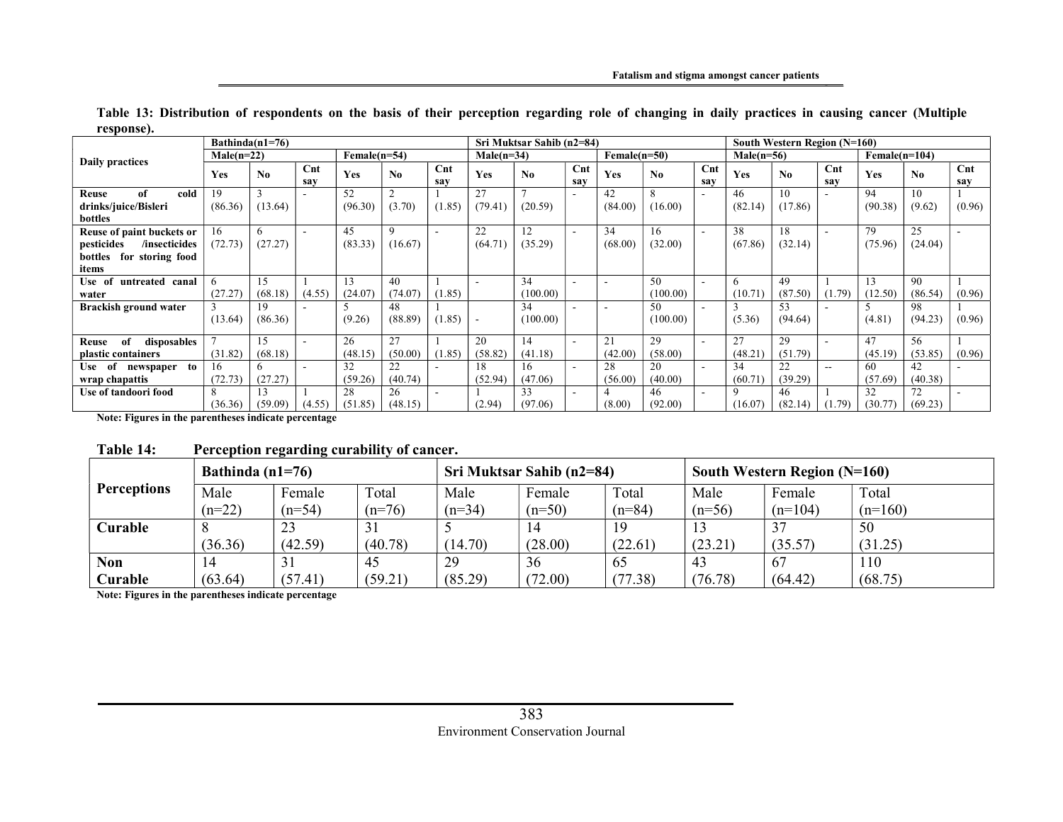|                              | Bathinda $(n1=76)$ |                |                       |              |             |            |              | Sri Muktsar Sahib (n2=84) |                       |                |          |                       |              | South Western Region (N=160) |               |                 |                        |                        |  |  |  |
|------------------------------|--------------------|----------------|-----------------------|--------------|-------------|------------|--------------|---------------------------|-----------------------|----------------|----------|-----------------------|--------------|------------------------------|---------------|-----------------|------------------------|------------------------|--|--|--|
| Daily practices              | $Male(n=22)$       |                |                       | Female(n=54) |             |            | $Male(n=34)$ |                           |                       | $Female(n=50)$ |          |                       | $Male(n=56)$ |                              |               | $Female(n=104)$ |                        |                        |  |  |  |
|                              | Yes                | N <sub>0</sub> | $\mathbf{Cnt}$<br>sav | Yes          | No          | Cnt<br>sav | Yes          | No                        | $\mathbf{Cnt}$<br>sav | Yes            | No       | $\mathbf{Cnt}$<br>sav | Yes          | N <sub>0</sub>               | Cnt<br>sav    | Yes             | $\mathbf{N}\mathbf{0}$ | $\mathbf{C}$ nt<br>sav |  |  |  |
| of<br>cold<br>Reuse          | 19                 |                |                       | 52           |             |            | 27           |                           |                       | 42             | 8        |                       | 46           | 10                           |               | 94              | 10                     |                        |  |  |  |
| drinks/juice/Bisleri         | (86.36)            | (13.64)        |                       | (96.30)      | (3.70)      | (1.85)     | (79.41)      | (20.59)                   |                       | (84.00)        | (16.00)  |                       | (82.14)      | (17.86)                      |               | (90.38)         | (9.62)                 | (0.96)                 |  |  |  |
| bottles                      |                    |                |                       |              |             |            |              |                           |                       |                |          |                       |              |                              |               |                 |                        |                        |  |  |  |
| Reuse of paint buckets or    | 16                 | h              |                       | 45           | $\mathbf Q$ |            | 22           | 12                        |                       | 34             | 16       | $\sim$                | 38           | 18                           |               | 79              | 25                     |                        |  |  |  |
| pesticides<br>/insecticides  | (72.73)            | (27.27)        |                       | (83.33)      | (16.67)     |            | (64.71)      | (35.29)                   |                       | (68.00)        | (32.00)  |                       | (67.86)      | (32.14)                      |               | (75.96)         | (24.04)                |                        |  |  |  |
| for storing food<br>bottles  |                    |                |                       |              |             |            |              |                           |                       |                |          |                       |              |                              |               |                 |                        |                        |  |  |  |
| items                        |                    |                |                       |              |             |            |              |                           |                       |                |          |                       |              |                              |               |                 |                        |                        |  |  |  |
| Use of<br>untreated canal    |                    | 15             |                       | 13           | 40          |            |              | 34                        |                       |                | 50       |                       | 6            | 49                           |               | 13              | 90                     |                        |  |  |  |
| water                        | (27.27)            | (68.18)        | (4.55)                | (24.07)      | (74.07)     | (1.85)     |              | (100.00)                  |                       |                | (100.00) |                       | (10.71)      | (87.50)                      | (1.79)        | (12.50)         | (86.54)                | (0.96)                 |  |  |  |
| Brackish ground water        |                    | 19             |                       |              | 48          |            |              | 34                        |                       |                | 50       |                       |              | 53                           |               |                 | 98                     |                        |  |  |  |
|                              | (13.64)            | (86.36)        |                       | (9.26)       | (88.89)     | (1.85)     |              | (100.00)                  |                       |                | (100.00) |                       | (5.36)       | (94.64)                      |               | (4.81)          | (94.23)                | (0.96)                 |  |  |  |
| disposables<br>of<br>Reuse   |                    | 15             |                       | 26           | 27          |            | 20           | 14                        |                       | 21             | 29       |                       | 27           | 29                           |               | 47              | 56                     |                        |  |  |  |
| plastic containers           | (31.82)            | (68.18)        |                       | (48.15)      | (50.00)     | (1.85)     | (58.82)      | (41.18)                   |                       | (42.00)        | (58.00)  |                       | (48.21)      | (51.79)                      |               | (45.19)         | (53.85)                | (0.96)                 |  |  |  |
| of<br>to<br>Use<br>newspaper | 16                 | 6              |                       | 32           | 22          |            | 18           | 16                        |                       | 28             | 20       |                       | 34           | 22                           | $\sim$ $\sim$ | 60              | 42                     |                        |  |  |  |
| wrap chapattis               | (72.73)            | (27.27)        |                       | (59.26)      | (40.74)     |            | (52.94)      | (47.06)                   |                       | (56.00)        | (40.00)  |                       | (60.71)      | (39.29)                      |               | (57.69)         | (40.38)                |                        |  |  |  |
| Use of tandoori food         | 8                  | 13             |                       | 28           | 26          | $\sim$     |              | 33                        | $\sim$                | 4              | 46       | $\sim$                | 9            | 46                           |               | 32              | 72                     |                        |  |  |  |
|                              | (36.36)            | (59.09)        | (4.55)                | (51.85)      | (48.15)     |            | (2.94)       | (97.06)                   |                       | (8.00)         | (92.00)  |                       | (16.07)      | (82.14)                      | (1.79)        | (30.77)         | (69.23)                |                        |  |  |  |

Table 13: Distribution of respondents on the basis of their perception regarding role of changing in daily practices in causing cancer (Multiple response).

Note: Figures in the parentheses indicate percentage

## Table 14: Perception regarding curability of cancer.

|                    | Bathinda $(n1=76)$ |          |          |          | Sri Muktsar Sahib (n2=84) |          | South Western Region (N=160) |           |           |  |  |
|--------------------|--------------------|----------|----------|----------|---------------------------|----------|------------------------------|-----------|-----------|--|--|
| <b>Perceptions</b> | Male               | Female   | Total    | Male     | Female                    | Total    | Male                         | Female    | Total     |  |  |
|                    | $(n=22)$           | $(n=54)$ | $(n=76)$ | $(n=34)$ | $(n=50)$                  | $(n=84)$ | $(n=56)$                     | $(n=104)$ | $(n=160)$ |  |  |
| Curable            |                    | 23       | 31       |          | 14                        | 19       |                              | 37        | 50        |  |  |
|                    | (36.36)            | (42.59)  | (40.78)  | (14.70)  | (28.00)                   | (22.61)  | (23.21)                      | (35.57)   | (31.25)   |  |  |
| <b>Non</b>         | 14                 | 31       | 45       | 29       | 36                        | 65       | 43                           | -67       | 110       |  |  |
| Curable            | (63.64)            | (57.41)  | (59.21)  | (85.29)  | (72.00)                   | (77.38)  | (76.78)                      | (64.42)   | (68.75)   |  |  |

Note: Figures in the parentheses indicate percentage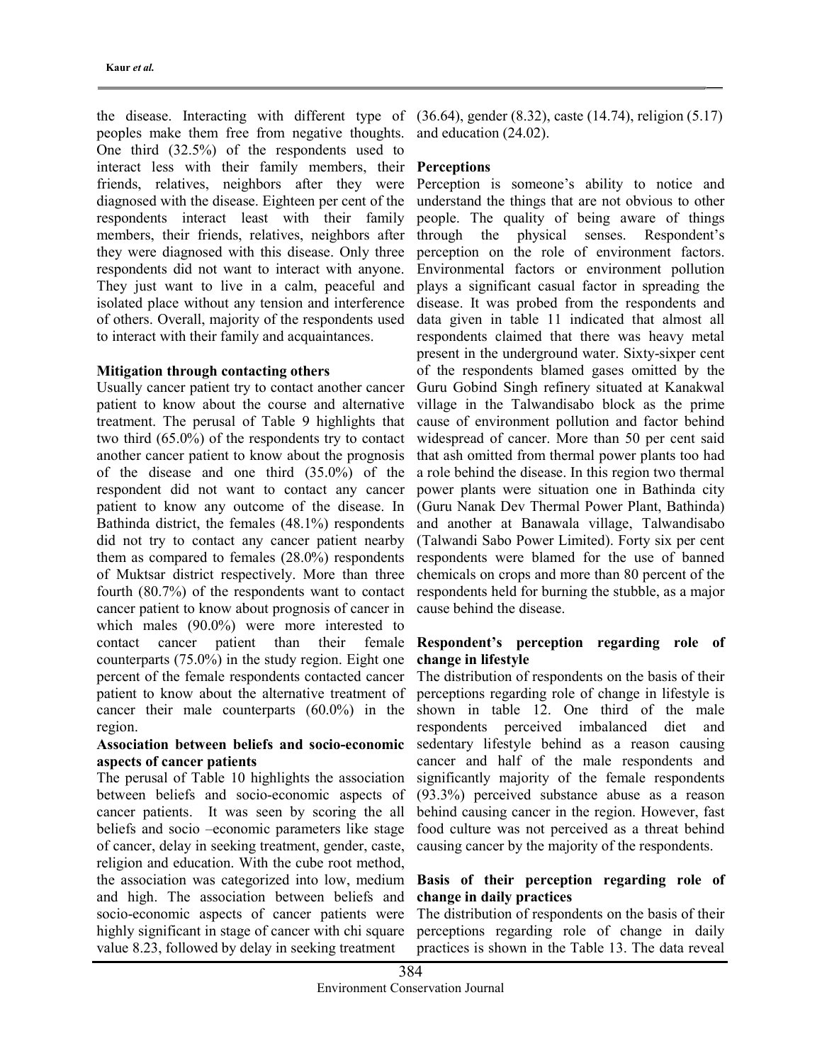peoples make them free from negative thoughts. One third (32.5%) of the respondents used to interact less with their family members, their Perceptions friends, relatives, neighbors after they were diagnosed with the disease. Eighteen per cent of the respondents interact least with their family members, their friends, relatives, neighbors after they were diagnosed with this disease. Only three respondents did not want to interact with anyone. They just want to live in a calm, peaceful and isolated place without any tension and interference of others. Overall, majority of the respondents used to interact with their family and acquaintances.

## Mitigation through contacting others

Usually cancer patient try to contact another cancer patient to know about the course and alternative treatment. The perusal of Table 9 highlights that two third (65.0%) of the respondents try to contact another cancer patient to know about the prognosis of the disease and one third (35.0%) of the respondent did not want to contact any cancer patient to know any outcome of the disease. In Bathinda district, the females (48.1%) respondents did not try to contact any cancer patient nearby them as compared to females (28.0%) respondents of Muktsar district respectively. More than three fourth (80.7%) of the respondents want to contact cancer patient to know about prognosis of cancer in which males (90.0%) were more interested to contact cancer patient than their female counterparts (75.0%) in the study region. Eight one percent of the female respondents contacted cancer patient to know about the alternative treatment of cancer their male counterparts (60.0%) in the region.

## Association between beliefs and socio-economic aspects of cancer patients

The perusal of Table 10 highlights the association between beliefs and socio-economic aspects of cancer patients. It was seen by scoring the all beliefs and socio –economic parameters like stage of cancer, delay in seeking treatment, gender, caste, religion and education. With the cube root method, the association was categorized into low, medium and high. The association between beliefs and socio-economic aspects of cancer patients were highly significant in stage of cancer with chi square value 8.23, followed by delay in seeking treatment

the disease. Interacting with different type of (36.64), gender (8.32), caste (14.74), religion (5.17) and education (24.02).

Perception is someone's ability to notice and understand the things that are not obvious to other people. The quality of being aware of things through the physical senses. Respondent's perception on the role of environment factors. Environmental factors or environment pollution plays a significant casual factor in spreading the disease. It was probed from the respondents and data given in table 11 indicated that almost all respondents claimed that there was heavy metal present in the underground water. Sixty-sixper cent of the respondents blamed gases omitted by the Guru Gobind Singh refinery situated at Kanakwal village in the Talwandisabo block as the prime cause of environment pollution and factor behind widespread of cancer. More than 50 per cent said that ash omitted from thermal power plants too had a role behind the disease. In this region two thermal power plants were situation one in Bathinda city (Guru Nanak Dev Thermal Power Plant, Bathinda) and another at Banawala village, Talwandisabo (Talwandi Sabo Power Limited). Forty six per cent respondents were blamed for the use of banned chemicals on crops and more than 80 percent of the respondents held for burning the stubble, as a major cause behind the disease.

## Respondent's perception regarding role of change in lifestyle

The distribution of respondents on the basis of their perceptions regarding role of change in lifestyle is shown in table 12. One third of the male respondents perceived imbalanced diet and sedentary lifestyle behind as a reason causing cancer and half of the male respondents and significantly majority of the female respondents (93.3%) perceived substance abuse as a reason behind causing cancer in the region. However, fast food culture was not perceived as a threat behind causing cancer by the majority of the respondents.

## Basis of their perception regarding role of change in daily practices

The distribution of respondents on the basis of their perceptions regarding role of change in daily practices is shown in the Table 13. The data reveal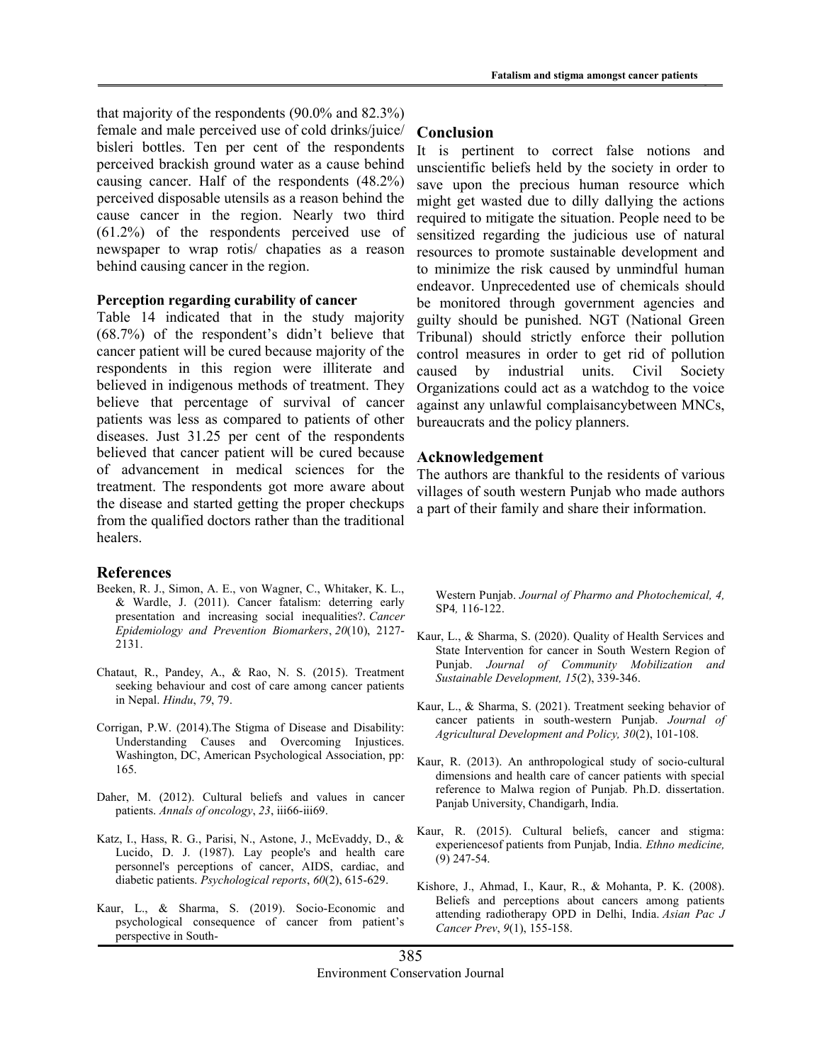that majority of the respondents (90.0% and 82.3%) female and male perceived use of cold drinks/juice/ bisleri bottles. Ten per cent of the respondents perceived brackish ground water as a cause behind causing cancer. Half of the respondents (48.2%) perceived disposable utensils as a reason behind the cause cancer in the region. Nearly two third (61.2%) of the respondents perceived use of newspaper to wrap rotis/ chapaties as a reason behind causing cancer in the region.

#### Perception regarding curability of cancer

Table 14 indicated that in the study majority (68.7%) of the respondent's didn't believe that cancer patient will be cured because majority of the respondents in this region were illiterate and believed in indigenous methods of treatment. They believe that percentage of survival of cancer patients was less as compared to patients of other diseases. Just 31.25 per cent of the respondents believed that cancer patient will be cured because of advancement in medical sciences for the treatment. The respondents got more aware about the disease and started getting the proper checkups from the qualified doctors rather than the traditional healers.

#### References

- Beeken, R. J., Simon, A. E., von Wagner, C., Whitaker, K. L., & Wardle, J. (2011). Cancer fatalism: deterring early presentation and increasing social inequalities?. Cancer Epidemiology and Prevention Biomarkers, 20(10), 2127- 2131.
- Chataut, R., Pandey, A., & Rao, N. S. (2015). Treatment seeking behaviour and cost of care among cancer patients in Nepal. Hindu, 79, 79.
- Corrigan, P.W. (2014).The Stigma of Disease and Disability: Understanding Causes and Overcoming Injustices. Washington, DC, American Psychological Association, pp: 165.
- Daher, M. (2012). Cultural beliefs and values in cancer patients. Annals of oncology, 23, iii66-iii69.
- Katz, I., Hass, R. G., Parisi, N., Astone, J., McEvaddy, D., & Lucido, D. J. (1987). Lay people's and health care personnel's perceptions of cancer, AIDS, cardiac, and diabetic patients. Psychological reports, 60(2), 615-629.
- Kaur, L., & Sharma, S. (2019). Socio-Economic and psychological consequence of cancer from patient's perspective in South-

#### Conclusion

It is pertinent to correct false notions and unscientific beliefs held by the society in order to save upon the precious human resource which might get wasted due to dilly dallying the actions required to mitigate the situation. People need to be sensitized regarding the judicious use of natural resources to promote sustainable development and to minimize the risk caused by unmindful human endeavor. Unprecedented use of chemicals should be monitored through government agencies and guilty should be punished. NGT (National Green Tribunal) should strictly enforce their pollution control measures in order to get rid of pollution caused by industrial units. Civil Society Organizations could act as a watchdog to the voice against any unlawful complaisancybetween MNCs, bureaucrats and the policy planners.

#### Acknowledgement

The authors are thankful to the residents of various villages of south western Punjab who made authors a part of their family and share their information.

Western Punjab. Journal of Pharmo and Photochemical, 4, SP4, 116-122.

- Kaur, L., & Sharma, S. (2020). Quality of Health Services and State Intervention for cancer in South Western Region of Punjab. Journal of Community Mobilization and Sustainable Development, 15(2), 339-346.
- Kaur, L., & Sharma, S. (2021). Treatment seeking behavior of cancer patients in south-western Punjab. Journal of Agricultural Development and Policy, 30(2), 101-108.
- Kaur, R. (2013). An anthropological study of socio-cultural dimensions and health care of cancer patients with special reference to Malwa region of Punjab. Ph.D. dissertation. Panjab University, Chandigarh, India.
- Kaur, R. (2015). Cultural beliefs, cancer and stigma: experiencesof patients from Punjab, India. Ethno medicine, (9) 247-54.
- Kishore, J., Ahmad, I., Kaur, R., & Mohanta, P. K. (2008). Beliefs and perceptions about cancers among patients attending radiotherapy OPD in Delhi, India. Asian Pac J Cancer Prev, 9(1), 155-158.